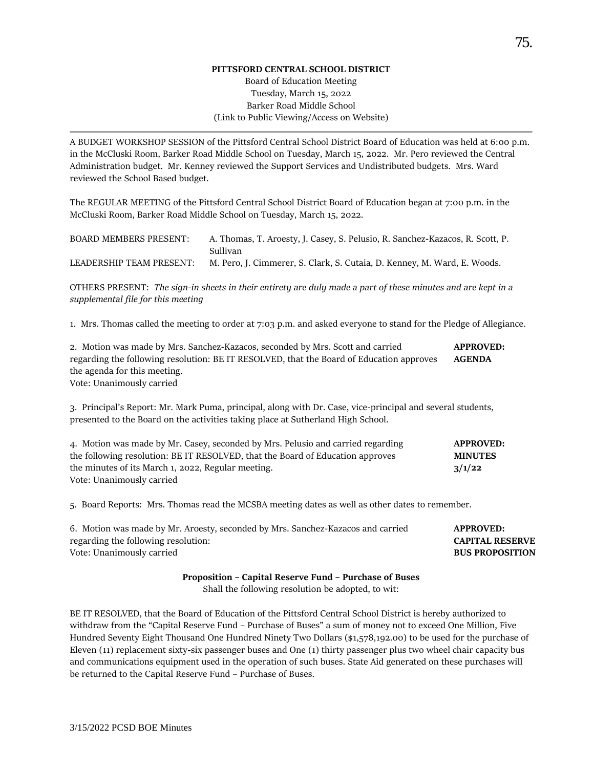## **PITTSFORD CENTRAL SCHOOL DISTRICT**

## Board of Education Meeting Tuesday, March 15, 2022 Barker Road Middle School (Link to Public Viewing/Access on Website)

A BUDGET WORKSHOP SESSION of the Pittsford Central School District Board of Education was held at 6:00 p.m. in the McCluski Room, Barker Road Middle School on Tuesday, March 15, 2022. Mr. Pero reviewed the Central Administration budget. Mr. Kenney reviewed the Support Services and Undistributed budgets. Mrs. Ward reviewed the School Based budget.

The REGULAR MEETING of the Pittsford Central School District Board of Education began at 7:00 p.m. in the McCluski Room, Barker Road Middle School on Tuesday, March 15, 2022.

| <b>BOARD MEMBERS PRESENT:</b> | A. Thomas, T. Aroesty, J. Casey, S. Pelusio, R. Sanchez-Kazacos, R. Scott, P. |
|-------------------------------|-------------------------------------------------------------------------------|
|                               | Sullivan                                                                      |
| LEADERSHIP TEAM PRESENT:      | M. Pero, J. Cimmerer, S. Clark, S. Cutaia, D. Kenney, M. Ward, E. Woods.      |

OTHERS PRESENT: *The sign-in sheets in their entirety are duly made a part of these minutes and are kept in a supplemental file for this meeting*

1. Mrs. Thomas called the meeting to order at 7:03 p.m. and asked everyone to stand for the Pledge of Allegiance.

| 2. Motion was made by Mrs. Sanchez-Kazacos, seconded by Mrs. Scott and carried           | <b>APPROVED:</b> |
|------------------------------------------------------------------------------------------|------------------|
| regarding the following resolution: BE IT RESOLVED, that the Board of Education approves | AGENDA           |
| the agenda for this meeting.                                                             |                  |

Vote: Unanimously carried

3. Principal's Report: Mr. Mark Puma, principal, along with Dr. Case, vice-principal and several students, presented to the Board on the activities taking place at Sutherland High School.

| 4. Motion was made by Mr. Casey, seconded by Mrs. Pelusio and carried regarding | <b>APPROVED:</b> |
|---------------------------------------------------------------------------------|------------------|
| the following resolution: BE IT RESOLVED, that the Board of Education approves  | <b>MINUTES</b>   |
| the minutes of its March 1, 2022, Regular meeting.                              | 3/1/22           |
| Vote: Unanimously carried                                                       |                  |

5. Board Reports: Mrs. Thomas read the MCSBA meeting dates as well as other dates to remember.

| 6. Motion was made by Mr. Aroesty, seconded by Mrs. Sanchez-Kazacos and carried | <b>APPROVED:</b>       |
|---------------------------------------------------------------------------------|------------------------|
| regarding the following resolution:                                             | <b>CAPITAL RESERVE</b> |
| Vote: Unanimously carried                                                       | <b>BUS PROPOSITION</b> |

**Proposition – Capital Reserve Fund – Purchase of Buses**

Shall the following resolution be adopted, to wit:

BE IT RESOLVED, that the Board of Education of the Pittsford Central School District is hereby authorized to withdraw from the "Capital Reserve Fund – Purchase of Buses" a sum of money not to exceed One Million, Five Hundred Seventy Eight Thousand One Hundred Ninety Two Dollars (\$1,578,192.00) to be used for the purchase of Eleven (11) replacement sixty-six passenger buses and One (1) thirty passenger plus two wheel chair capacity bus and communications equipment used in the operation of such buses. State Aid generated on these purchases will be returned to the Capital Reserve Fund – Purchase of Buses.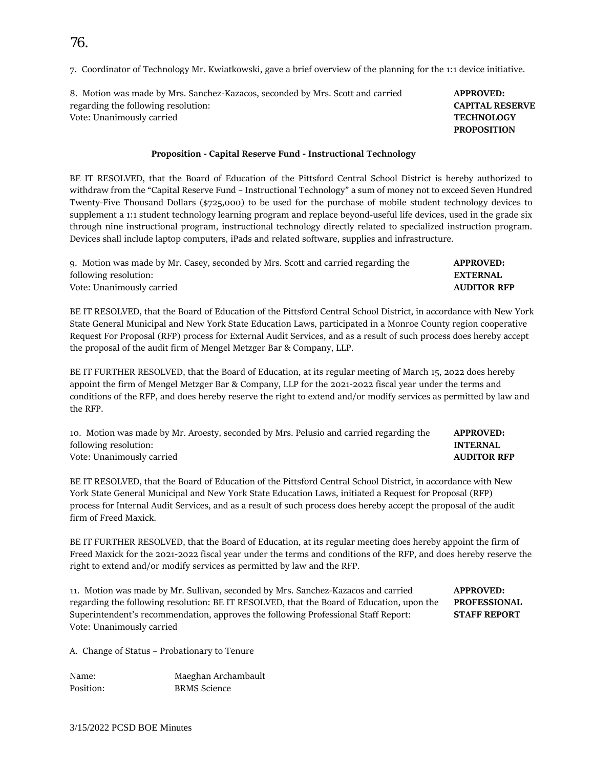7. Coordinator of Technology Mr. Kwiatkowski, gave a brief overview of the planning for the 1:1 device initiative.

8. Motion was made by Mrs. Sanchez-Kazacos, seconded by Mrs. Scott and carried **APPROVED:**  regarding the following resolution: **CAPITAL RESERVE** Vote: Unanimously carried **TECHNOLOGY**

## **Proposition - Capital Reserve Fund - Instructional Technology**

BE IT RESOLVED, that the Board of Education of the Pittsford Central School District is hereby authorized to withdraw from the "Capital Reserve Fund – Instructional Technology" a sum of money not to exceed Seven Hundred Twenty-Five Thousand Dollars (\$725,000) to be used for the purchase of mobile student technology devices to supplement a 1:1 student technology learning program and replace beyond-useful life devices, used in the grade six through nine instructional program, instructional technology directly related to specialized instruction program. Devices shall include laptop computers, iPads and related software, supplies and infrastructure.

| 9. Motion was made by Mr. Casey, seconded by Mrs. Scott and carried regarding the | <b>APPROVED:</b>   |
|-----------------------------------------------------------------------------------|--------------------|
| following resolution:                                                             | EXTERNAL           |
| Vote: Unanimously carried                                                         | <b>AUDITOR RFP</b> |

BE IT RESOLVED, that the Board of Education of the Pittsford Central School District, in accordance with New York State General Municipal and New York State Education Laws, participated in a Monroe County region cooperative Request For Proposal (RFP) process for External Audit Services, and as a result of such process does hereby accept the proposal of the audit firm of Mengel Metzger Bar & Company, LLP.

BE IT FURTHER RESOLVED, that the Board of Education, at its regular meeting of March 15, 2022 does hereby appoint the firm of Mengel Metzger Bar & Company, LLP for the 2021-2022 fiscal year under the terms and conditions of the RFP, and does hereby reserve the right to extend and/or modify services as permitted by law and the RFP.

10. Motion was made by Mr. Aroesty, seconded by Mrs. Pelusio and carried regarding the **APPROVED:**  following resolution: **INTERNAL**  Vote: Unanimously carried **AUDITOR RFP**

BE IT RESOLVED, that the Board of Education of the Pittsford Central School District, in accordance with New York State General Municipal and New York State Education Laws, initiated a Request for Proposal (RFP) process for Internal Audit Services, and as a result of such process does hereby accept the proposal of the audit firm of Freed Maxick.

BE IT FURTHER RESOLVED, that the Board of Education, at its regular meeting does hereby appoint the firm of Freed Maxick for the 2021-2022 fiscal year under the terms and conditions of the RFP, and does hereby reserve the right to extend and/or modify services as permitted by law and the RFP.

11. Motion was made by Mr. Sullivan, seconded by Mrs. Sanchez-Kazacos and carried **APPROVED:** regarding the following resolution: BE IT RESOLVED, that the Board of Education, upon the **PROFESSIONAL**  Superintendent's recommendation, approves the following Professional Staff Report: **STAFF REPORT**  Vote: Unanimously carried

A. Change of Status – Probationary to Tenure

Name: Maeghan Archambault Position: BRMS Science

**PROPOSITION**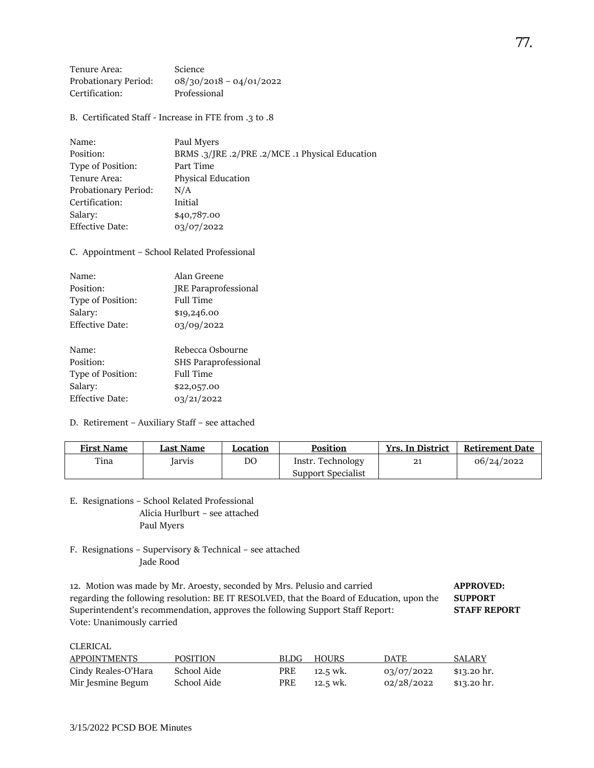| Tenure Area:         | <b>Science</b>            |
|----------------------|---------------------------|
| Probationary Period: | $08/30/2018 - 04/01/2022$ |
| Certification:       | Professional              |

B. Certificated Staff - Increase in FTE from .3 to .8

| Name:                  | Paul Myers                                      |
|------------------------|-------------------------------------------------|
| Position:              | BRMS .3/JRE .2/PRE .2/MCE .1 Physical Education |
| Type of Position:      | Part Time                                       |
| Tenure Area:           | <b>Physical Education</b>                       |
| Probationary Period:   | N/A                                             |
| Certification:         | Initial                                         |
| Salary:                | \$40,787.00                                     |
| <b>Effective Date:</b> | 03/07/2022                                      |

C. Appointment – School Related Professional

| Name:             | Alan Greene                 |
|-------------------|-----------------------------|
| Position:         | <b>JRE</b> Paraprofessional |
| Type of Position: | Full Time                   |
| Salary:           | \$19,246.00                 |
| Effective Date:   | 03/09/2022                  |
| Name:             | Rebecca Osbourne            |
| Position:         | <b>SHS Paraprofessional</b> |
| Type of Position: | Full Time                   |
| Salary:           | \$22,057.00                 |
| Effective Date:   | 03/21/2022                  |

D. Retirement – Auxiliary Staff – see attached

| <b>First Name</b> | Last Name | Location | <b>Position</b>    | <b>Yrs. In District</b> | <b>Retirement Date</b> |
|-------------------|-----------|----------|--------------------|-------------------------|------------------------|
| Tina              | Iarvis    | DΟ       | Instr. Technology  | 21                      | 06/24/2022             |
|                   |           |          | Support Specialist |                         |                        |

- E. Resignations School Related Professional Alicia Hurlburt – see attached Paul Myers
- F. Resignations Supervisory & Technical see attached Jade Rood

12. Motion was made by Mr. Aroesty, seconded by Mrs. Pelusio and carried **APPROVED:**  regarding the following resolution: BE IT RESOLVED, that the Board of Education, upon the **SUPPORT**  Superintendent's recommendation, approves the following Support Staff Report: **STAFF REPORT**  Vote: Unanimously carried

CLERICAL

| APPOINTMENTS        | POSITION    | BLDG- | <b>HOURS</b> | <b>DATE</b> | SALARY      |
|---------------------|-------------|-------|--------------|-------------|-------------|
| Cindy Reales-O'Hara | School Aide | PRE.  | 12.5 wk.     | 03/07/2022  | \$13.20 hr. |
| Mir Jesmine Begum   | School Aide | PRE   | 12.5 wk.     | 02/28/2022  | \$13.20 hr. |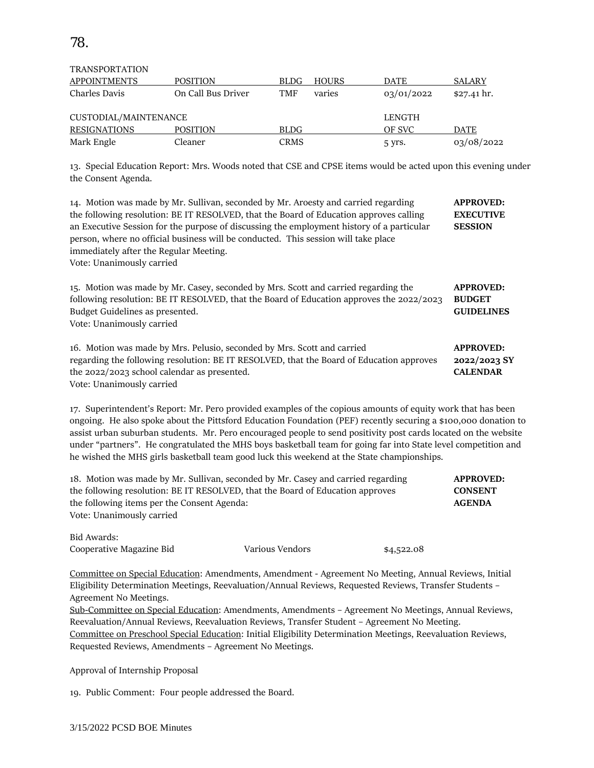| 70<br>$\prime$<br>. . |
|-----------------------|
|-----------------------|

## TRANSPORTATION

| <b>APPOINTMENTS</b>   | POSITION           | <b>BLDG</b> | <b>HOURS</b> | DATE       | <b>SALARY</b>        |
|-----------------------|--------------------|-------------|--------------|------------|----------------------|
| Charles Davis         | On Call Bus Driver | TMF         | varies       | 03/01/2022 | $$27.41 \text{ hr}.$ |
| CUSTODIAL/MAINTENANCE |                    |             |              | LENGTH     |                      |
| RESIGNATIONS          | <b>POSITION</b>    | <b>BLDG</b> |              | OF SVC     | <b>DATE</b>          |
| Mark Engle            | Cleaner            | <b>CRMS</b> |              | 5 yrs.     | 03/08/2022           |

13. Special Education Report: Mrs. Woods noted that CSE and CPSE items would be acted upon this evening under the Consent Agenda.

| 14. Motion was made by Mr. Sullivan, seconded by Mr. Aroesty and carried regarding<br>the following resolution: BE IT RESOLVED, that the Board of Education approves calling<br>an Executive Session for the purpose of discussing the employment history of a particular<br>person, where no official business will be conducted. This session will take place<br>immediately after the Regular Meeting. | <b>APPROVED:</b><br><b>EXECUTIVE</b><br><b>SESSION</b> |
|-----------------------------------------------------------------------------------------------------------------------------------------------------------------------------------------------------------------------------------------------------------------------------------------------------------------------------------------------------------------------------------------------------------|--------------------------------------------------------|
| Vote: Unanimously carried<br>15. Motion was made by Mr. Casey, seconded by Mrs. Scott and carried regarding the<br>following resolution: BE IT RESOLVED, that the Board of Education approves the 2022/2023<br>Budget Guidelines as presented.<br>Vote: Unanimously carried                                                                                                                               | <b>APPROVED:</b><br><b>BUDGET</b><br><b>GUIDELINES</b> |
| 16. Motion was made by Mrs. Pelusio, seconded by Mrs. Scott and carried<br>regarding the following resolution: BE IT RESOLVED, that the Board of Education approves<br>the 2022/2023 school calendar as presented.<br>Vote: Unanimously carried                                                                                                                                                           | <b>APPROVED:</b><br>2022/2023 SY<br><b>CALENDAR</b>    |

17. Superintendent's Report: Mr. Pero provided examples of the copious amounts of equity work that has been ongoing. He also spoke about the Pittsford Education Foundation (PEF) recently securing a \$100,000 donation to assist urban suburban students. Mr. Pero encouraged people to send positivity post cards located on the website under "partners". He congratulated the MHS boys basketball team for going far into State level competition and he wished the MHS girls basketball team good luck this weekend at the State championships.

| 18. Motion was made by Mr. Sullivan, seconded by Mr. Casey and carried regarding<br>the following resolution: BE IT RESOLVED, that the Board of Education approves<br>the following items per the Consent Agenda:<br>Vote: Unanimously carried |                 |            | <b>APPROVED:</b><br><b>CONSENT</b><br><b>AGENDA</b> |
|------------------------------------------------------------------------------------------------------------------------------------------------------------------------------------------------------------------------------------------------|-----------------|------------|-----------------------------------------------------|
| Bid Awards:<br>Cooperative Magazine Bid                                                                                                                                                                                                        | Various Vendors | \$4,522.08 |                                                     |

Committee on Special Education: Amendments, Amendment - Agreement No Meeting, Annual Reviews, Initial Eligibility Determination Meetings, Reevaluation/Annual Reviews, Requested Reviews, Transfer Students – Agreement No Meetings.

Sub-Committee on Special Education: Amendments, Amendments – Agreement No Meetings, Annual Reviews, Reevaluation/Annual Reviews, Reevaluation Reviews, Transfer Student – Agreement No Meeting. Committee on Preschool Special Education: Initial Eligibility Determination Meetings, Reevaluation Reviews, Requested Reviews, Amendments – Agreement No Meetings.

Approval of Internship Proposal

19. Public Comment: Four people addressed the Board.